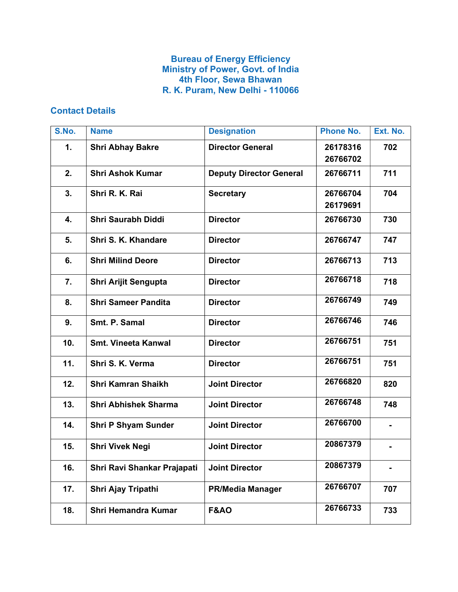## Bureau of Energy Efficiency Ministry of Power, Govt. of India 4th Floor, Sewa Bhawan R. K. Puram, New Delhi - 110066

## Contact Details

| S.No. | <b>Name</b>                 | <b>Designation</b>             | <b>Phone No.</b> | Ext. No. |
|-------|-----------------------------|--------------------------------|------------------|----------|
| 1.    | <b>Shri Abhay Bakre</b>     | <b>Director General</b>        | 26178316         | 702      |
|       |                             |                                | 26766702         |          |
| 2.    | <b>Shri Ashok Kumar</b>     | <b>Deputy Director General</b> | 26766711         | 711      |
| 3.    | Shri R. K. Rai              | <b>Secretary</b>               | 26766704         | 704      |
|       |                             |                                | 26179691         |          |
| 4.    | <b>Shri Saurabh Diddi</b>   | <b>Director</b>                | 26766730         | 730      |
| 5.    | Shri S. K. Khandare         | <b>Director</b>                | 26766747         | 747      |
| 6.    | <b>Shri Milind Deore</b>    | <b>Director</b>                | 26766713         | 713      |
| 7.    | Shri Arijit Sengupta        | <b>Director</b>                | 26766718         | 718      |
| 8.    | <b>Shri Sameer Pandita</b>  | <b>Director</b>                | 26766749         | 749      |
| 9.    | Smt. P. Samal               | <b>Director</b>                | 26766746         | 746      |
| 10.   | <b>Smt. Vineeta Kanwal</b>  | <b>Director</b>                | 26766751         | 751      |
| 11.   | Shri S. K. Verma            | <b>Director</b>                | 26766751         | 751      |
| 12.   | <b>Shri Kamran Shaikh</b>   | <b>Joint Director</b>          | 26766820         | 820      |
| 13.   | <b>Shri Abhishek Sharma</b> | <b>Joint Director</b>          | 26766748         | 748      |
| 14.   | <b>Shri P Shyam Sunder</b>  | <b>Joint Director</b>          | 26766700         |          |
| 15.   | <b>Shri Vivek Negi</b>      | <b>Joint Director</b>          | 20867379         |          |
| 16.   | Shri Ravi Shankar Prajapati | <b>Joint Director</b>          | 20867379         |          |
| 17.   | Shri Ajay Tripathi          | <b>PR/Media Manager</b>        | 26766707         | 707      |
| 18.   | <b>Shri Hemandra Kumar</b>  | <b>F&amp;AO</b>                | 26766733         | 733      |